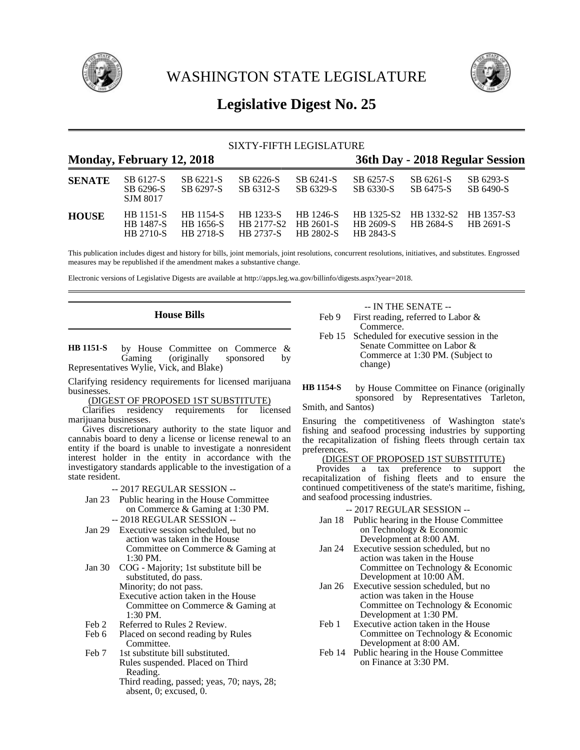

WASHINGTON STATE LEGISLATURE



# **Legislative Digest No. 25**

## SIXTY-FIFTH LEGISLATURE

| Monday, February 12, 2018 |                                            |                                                   |                                                    |                                            | 36th Day - 2018 Regular Session |                                                      |                        |
|---------------------------|--------------------------------------------|---------------------------------------------------|----------------------------------------------------|--------------------------------------------|---------------------------------|------------------------------------------------------|------------------------|
| <b>SENATE</b>             | SB 6127-S<br>SB 6296-S<br><b>SJM 8017</b>  | SB 6221-S<br>SB 6297-S                            | SB 6226-S<br>SB 6312-S                             | SB 6241-S<br>SB 6329-S                     | SB 6257-S<br>SB 6330-S          | SB 6261-S<br>SB 6475-S                               | SB 6293-S<br>SB 6490-S |
| <b>HOUSE</b>              | HB 1151-S<br><b>HB</b> 1487-S<br>HB 2710-S | <b>HB</b> 1154-S<br>HB 1656-S<br><b>HB 2718-S</b> | <b>HB</b> 1233-S<br>HB 2177-S2<br><b>HB 2737-S</b> | HB 1246-S<br>HB 2601-S<br><b>HB 2802-S</b> | HB 2609-S<br>HB 2843-S          | HB 1325-S2 HB 1332-S2 HB 1357-S3<br><b>HR 2684-S</b> | HB 2691-S              |

This publication includes digest and history for bills, joint memorials, joint resolutions, concurrent resolutions, initiatives, and substitutes. Engrossed measures may be republished if the amendment makes a substantive change.

Electronic versions of Legislative Digests are available at http://apps.leg.wa.gov/billinfo/digests.aspx?year=2018.

**House Bills**

by House Committee on Commerce & Gaming (originally sponsored by Representatives Wylie, Vick, and Blake) **HB 1151-S**

Clarifying residency requirements for licensed marijuana businesses.

(DIGEST OF PROPOSED 1ST SUBSTITUTE)<br>Clarifies residency requirements for licensed Clarifies residency marijuana businesses.

Gives discretionary authority to the state liquor and cannabis board to deny a license or license renewal to an entity if the board is unable to investigate a nonresident interest holder in the entity in accordance with the investigatory standards applicable to the investigation of a state resident.

-- 2017 REGULAR SESSION --

- Jan 23 Public hearing in the House Committee on Commerce & Gaming at 1:30 PM. -- 2018 REGULAR SESSION --
- Jan 29 Executive session scheduled, but no action was taken in the House Committee on Commerce & Gaming at 1:30 PM.
- Jan 30 COG Majority; 1st substitute bill be substituted, do pass. Minority; do not pass. Executive action taken in the House Committee on Commerce & Gaming at 1:30 PM.
- 
- Feb 2 Referred to Rules 2 Review.<br>Feb 6 Placed on second reading by Placed on second reading by Rules Committee.
- Feb 7 1st substitute bill substituted. Rules suspended. Placed on Third Reading. Third reading, passed; yeas, 70; nays, 28;
	- absent, 0; excused, 0.

## -- IN THE SENATE --

Feb 9 First reading, referred to Labor & Commerce.

Feb 15 Scheduled for executive session in the Senate Committee on Labor & Commerce at 1:30 PM. (Subject to change)

Smith, and Santos)

Ensuring the competitiveness of Washington state's fishing and seafood processing industries by supporting the recapitalization of fishing fleets through certain tax preferences.

## (DIGEST OF PROPOSED 1ST SUBSTITUTE)

Provides a tax preference to support the recapitalization of fishing fleets and to ensure the continued competitiveness of the state's maritime, fishing, and seafood processing industries.

- -- 2017 REGULAR SESSION --
- Jan 18 Public hearing in the House Committee on Technology & Economic Development at 8:00 AM.
- Jan 24 Executive session scheduled, but no action was taken in the House Committee on Technology & Economic Development at 10:00 AM.
- Jan 26 Executive session scheduled, but no action was taken in the House Committee on Technology & Economic Development at 1:30 PM.
- Feb 1 Executive action taken in the House Committee on Technology & Economic Development at 8:00 AM.
- Feb 14 Public hearing in the House Committee on Finance at 3:30 PM.

by House Committee on Finance (originally sponsored by Representatives Tarleton, **HB 1154-S**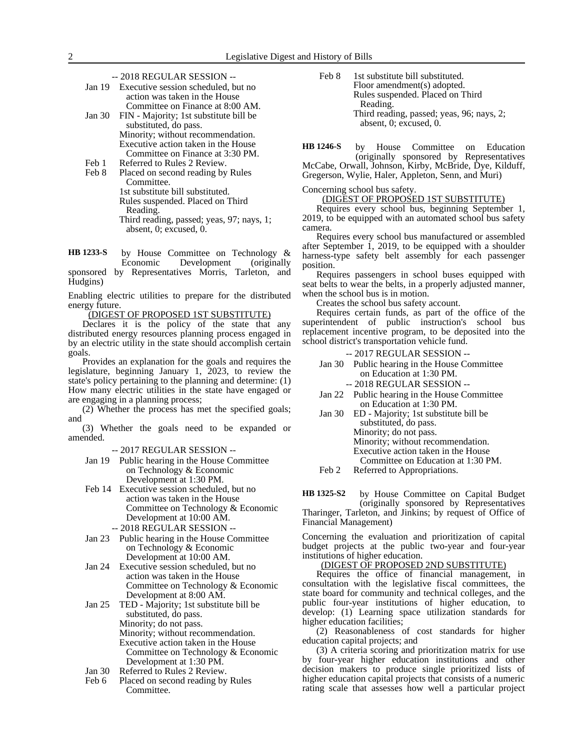- -- 2018 REGULAR SESSION --
- Jan 19 Executive session scheduled, but no action was taken in the House Committee on Finance at 8:00 AM.
- Jan 30 FIN Majority; 1st substitute bill be substituted, do pass. Minority; without recommendation. Executive action taken in the House Committee on Finance at 3:30 PM.
- 
- Feb 1 Referred to Rules 2 Review.<br>Feb 8 Placed on second reading by Placed on second reading by Rules Committee. 1st substitute bill substituted. Rules suspended. Placed on Third Reading. Third reading, passed; yeas, 97; nays, 1; absent, 0; excused, 0.

by House Committee on Technology & Economic Development (originally sponsored by Representatives Morris, Tarleton, and Hudgins) **HB 1233-S**

Enabling electric utilities to prepare for the distributed energy future.

(DIGEST OF PROPOSED 1ST SUBSTITUTE)

Declares it is the policy of the state that any distributed energy resources planning process engaged in by an electric utility in the state should accomplish certain goals.

Provides an explanation for the goals and requires the legislature, beginning January 1, 2023, to review the state's policy pertaining to the planning and determine: (1) How many electric utilities in the state have engaged or are engaging in a planning process;

(2) Whether the process has met the specified goals; and

(3) Whether the goals need to be expanded or amended.

-- 2017 REGULAR SESSION --

- Jan 19 Public hearing in the House Committee on Technology & Economic Development at 1:30 PM.
- Feb 14 Executive session scheduled, but no action was taken in the House Committee on Technology & Economic Development at 10:00 AM.
	- -- 2018 REGULAR SESSION --
- Jan 23 Public hearing in the House Committee on Technology & Economic Development at 10:00 AM.
- Jan 24 Executive session scheduled, but no action was taken in the House Committee on Technology & Economic Development at 8:00 AM.
- Jan 25 TED Majority; 1st substitute bill be substituted, do pass. Minority; do not pass. Minority; without recommendation. Executive action taken in the House Committee on Technology & Economic Development at 1:30 PM.
- Jan 30 Referred to Rules 2 Review.
- Feb 6 Placed on second reading by Rules Committee.

Feb 8 1st substitute bill substituted. Floor amendment(s) adopted. Rules suspended. Placed on Third Reading. Third reading, passed; yeas, 96; nays, 2; absent, 0; excused, 0.

by House Committee on Education (originally sponsored by Representatives McCabe, Orwall, Johnson, Kirby, McBride, Dye, Kilduff, **HB 1246-S**

Gregerson, Wylie, Haler, Appleton, Senn, and Muri)

Concerning school bus safety.

(DIGEST OF PROPOSED 1ST SUBSTITUTE)

Requires every school bus, beginning September 1, 2019, to be equipped with an automated school bus safety camera.

Requires every school bus manufactured or assembled after September 1, 2019, to be equipped with a shoulder harness-type safety belt assembly for each passenger position.

Requires passengers in school buses equipped with seat belts to wear the belts, in a properly adjusted manner, when the school bus is in motion.

Creates the school bus safety account.

Requires certain funds, as part of the office of the superintendent of public instruction's school bus replacement incentive program, to be deposited into the school district's transportation vehicle fund.

- -- 2017 REGULAR SESSION --
- Jan 30 Public hearing in the House Committee on Education at 1:30 PM.
	- -- 2018 REGULAR SESSION --
- Jan 22 Public hearing in the House Committee on Education at 1:30 PM.
- Jan 30 ED Majority; 1st substitute bill be substituted, do pass. Minority; do not pass. Minority; without recommendation. Executive action taken in the House Committee on Education at 1:30 PM.
- Feb 2 Referred to Appropriations.

by House Committee on Capital Budget (originally sponsored by Representatives Tharinger, Tarleton, and Jinkins; by request of Office of Financial Management) **HB 1325-S2**

Concerning the evaluation and prioritization of capital budget projects at the public two-year and four-year institutions of higher education.

(DIGEST OF PROPOSED 2ND SUBSTITUTE)

Requires the office of financial management, in consultation with the legislative fiscal committees, the state board for community and technical colleges, and the public four-year institutions of higher education, to develop: (1) Learning space utilization standards for higher education facilities;

(2) Reasonableness of cost standards for higher education capital projects; and

(3) A criteria scoring and prioritization matrix for use by four-year higher education institutions and other decision makers to produce single prioritized lists of higher education capital projects that consists of a numeric rating scale that assesses how well a particular project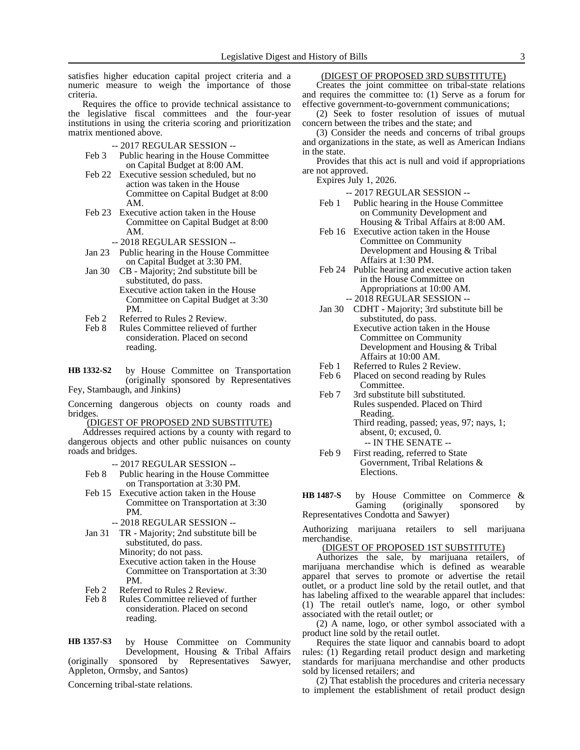satisfies higher education capital project criteria and a numeric measure to weigh the importance of those criteria.

Requires the office to provide technical assistance to the legislative fiscal committees and the four-year institutions in using the criteria scoring and prioritization matrix mentioned above.

-- 2017 REGULAR SESSION --

- Feb 3 Public hearing in the House Committee on Capital Budget at 8:00 AM.
- Feb 22 Executive session scheduled, but no action was taken in the House Committee on Capital Budget at 8:00 AM.
- Feb 23 Executive action taken in the House Committee on Capital Budget at 8:00 AM.
	- -- 2018 REGULAR SESSION --
- Jan 23 Public hearing in the House Committee on Capital Budget at 3:30 PM.
- Jan 30 CB Majority; 2nd substitute bill be substituted, do pass. Executive action taken in the House
	- Committee on Capital Budget at 3:30 PM.
- Feb 2 Referred to Rules 2 Review.<br>Feb 8 Rules Committee relieved of
- Rules Committee relieved of further consideration. Placed on second reading.
- by House Committee on Transportation (originally sponsored by Representatives Fey, Stambaugh, and Jinkins) **HB 1332-S2**

Concerning dangerous objects on county roads and bridges.

## (DIGEST OF PROPOSED 2ND SUBSTITUTE)

Addresses required actions by a county with regard to dangerous objects and other public nuisances on county roads and bridges.

- -- 2017 REGULAR SESSION --
- Feb 8 Public hearing in the House Committee on Transportation at 3:30 PM.
- Feb 15 Executive action taken in the House Committee on Transportation at 3:30 PM.
	- -- 2018 REGULAR SESSION --
- Jan 31 TR Majority; 2nd substitute bill be substituted, do pass. Minority; do not pass. Executive action taken in the House Committee on Transportation at 3:30 PM.
- Feb 2 Referred to Rules 2 Review.
- Feb 8 Rules Committee relieved of further consideration. Placed on second reading.

by House Committee on Community Development, Housing & Tribal Affairs (originally sponsored by Representatives Sawyer, Appleton, Ormsby, and Santos) **HB 1357-S3**

Concerning tribal-state relations.

## (DIGEST OF PROPOSED 3RD SUBSTITUTE)

Creates the joint committee on tribal-state relations and requires the committee to: (1) Serve as a forum for effective government-to-government communications;

(2) Seek to foster resolution of issues of mutual concern between the tribes and the state; and

(3) Consider the needs and concerns of tribal groups and organizations in the state, as well as American Indians in the state.

Provides that this act is null and void if appropriations are not approved.

Expires July 1, 2026.

-- 2017 REGULAR SESSION --

- Feb 1 Public hearing in the House Committee on Community Development and Housing & Tribal Affairs at 8:00 AM.
- Feb 16 Executive action taken in the House Committee on Community Development and Housing & Tribal Affairs at 1:30 PM.
- Feb 24 Public hearing and executive action taken in the House Committee on Appropriations at 10:00 AM. -- 2018 REGULAR SESSION --
- Jan 30 CDHT Majority; 3rd substitute bill be substituted, do pass. Executive action taken in the House Committee on Community Development and Housing & Tribal Affairs at 10:00 AM.
- Feb 1 Referred to Rules 2 Review.<br>Feb 6 Placed on second reading by
- Placed on second reading by Rules Committee.
- Feb 7 3rd substitute bill substituted. Rules suspended. Placed on Third Reading. Third reading, passed; yeas, 97; nays, 1;
	- absent, 0; excused, 0. -- IN THE SENATE --
- Feb 9 First reading, referred to State Government, Tribal Relations & Elections.

by House Committee on Commerce &<br>Gaming (originally sponsored by sponsored by Representatives Condotta and Sawyer) **HB 1487-S**

Authorizing marijuana retailers to sell marijuana merchandise.

## (DIGEST OF PROPOSED 1ST SUBSTITUTE)

Authorizes the sale, by marijuana retailers, of marijuana merchandise which is defined as wearable apparel that serves to promote or advertise the retail outlet, or a product line sold by the retail outlet, and that has labeling affixed to the wearable apparel that includes: (1) The retail outlet's name, logo, or other symbol associated with the retail outlet; or

(2) A name, logo, or other symbol associated with a product line sold by the retail outlet.

Requires the state liquor and cannabis board to adopt rules: (1) Regarding retail product design and marketing standards for marijuana merchandise and other products sold by licensed retailers; and

(2) That establish the procedures and criteria necessary to implement the establishment of retail product design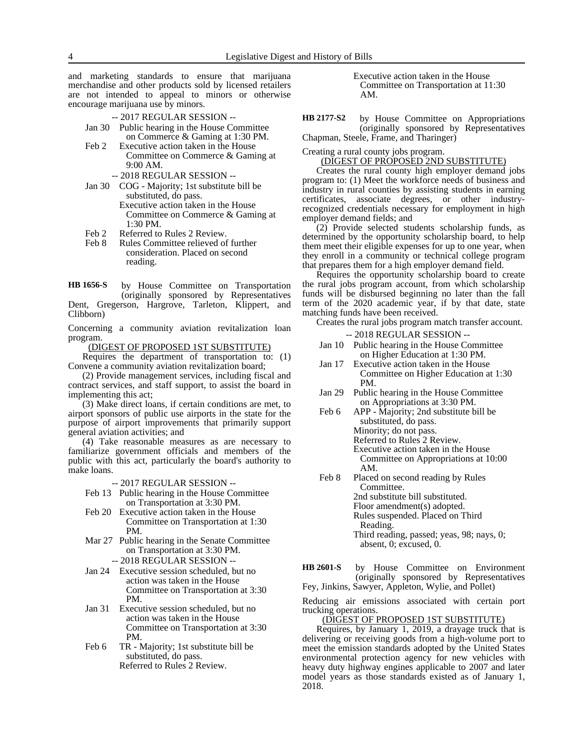and marketing standards to ensure that marijuana merchandise and other products sold by licensed retailers are not intended to appeal to minors or otherwise encourage marijuana use by minors.

- -- 2017 REGULAR SESSION --
- Jan 30 Public hearing in the House Committee on Commerce & Gaming at 1:30 PM.
- Feb 2 Executive action taken in the House Committee on Commerce & Gaming at 9:00 AM.
	- -- 2018 REGULAR SESSION --
- Jan 30 COG Majority; 1st substitute bill be substituted, do pass. Executive action taken in the House Committee on Commerce & Gaming at 1:30 PM.
- Feb 2 Referred to Rules 2 Review.
- Feb 8 Rules Committee relieved of further consideration. Placed on second reading.

by House Committee on Transportation (originally sponsored by Representatives Dent, Gregerson, Hargrove, Tarleton, Klippert, and Clibborn) **HB 1656-S**

Concerning a community aviation revitalization loan program.

(DIGEST OF PROPOSED 1ST SUBSTITUTE)

Requires the department of transportation to: (1) Convene a community aviation revitalization board;

(2) Provide management services, including fiscal and contract services, and staff support, to assist the board in implementing this act;

(3) Make direct loans, if certain conditions are met, to airport sponsors of public use airports in the state for the purpose of airport improvements that primarily support general aviation activities; and

(4) Take reasonable measures as are necessary to familiarize government officials and members of the public with this act, particularly the board's authority to make loans.

-- 2017 REGULAR SESSION --

- Feb 13 Public hearing in the House Committee on Transportation at 3:30 PM.
- Feb 20 Executive action taken in the House Committee on Transportation at 1:30 PM.
- Mar 27 Public hearing in the Senate Committee on Transportation at 3:30 PM.
	- -- 2018 REGULAR SESSION --
- Jan 24 Executive session scheduled, but no action was taken in the House Committee on Transportation at 3:30 PM.
- Jan 31 Executive session scheduled, but no action was taken in the House Committee on Transportation at 3:30 PM.
- Feb 6 TR Majority; 1st substitute bill be substituted, do pass. Referred to Rules 2 Review.

Executive action taken in the House Committee on Transportation at 11:30 AM.

by House Committee on Appropriations (originally sponsored by Representatives Chapman, Steele, Frame, and Tharinger) **HB 2177-S2**

Creating a rural county jobs program.

(DIGEST OF PROPOSED 2ND SUBSTITUTE)

Creates the rural county high employer demand jobs program to: (1) Meet the workforce needs of business and industry in rural counties by assisting students in earning certificates, associate degrees, or other industryrecognized credentials necessary for employment in high employer demand fields; and

(2) Provide selected students scholarship funds, as determined by the opportunity scholarship board, to help them meet their eligible expenses for up to one year, when they enroll in a community or technical college program that prepares them for a high employer demand field.

Requires the opportunity scholarship board to create the rural jobs program account, from which scholarship funds will be disbursed beginning no later than the fall term of the 2020 academic year, if by that date, state matching funds have been received.

Creates the rural jobs program match transfer account.

-- 2018 REGULAR SESSION --

- Jan 10 Public hearing in the House Committee on Higher Education at 1:30 PM.
- Jan 17 Executive action taken in the House Committee on Higher Education at 1:30 PM.
- Jan 29 Public hearing in the House Committee on Appropriations at 3:30 PM.
- Feb 6 APP Majority; 2nd substitute bill be substituted, do pass. Minority; do not pass. Referred to Rules 2 Review. Executive action taken in the House Committee on Appropriations at 10:00 AM.
- Feb 8 Placed on second reading by Rules Committee. 2nd substitute bill substituted.

Floor amendment(s) adopted. Rules suspended. Placed on Third

Reading.

Third reading, passed; yeas, 98; nays, 0; absent, 0; excused, 0.

by House Committee on Environment (originally sponsored by Representatives Fey, Jinkins, Sawyer, Appleton, Wylie, and Pollet) **HB 2601-S**

Reducing air emissions associated with certain port trucking operations.

(DIGEST OF PROPOSED 1ST SUBSTITUTE)

Requires, by January 1, 2019, a drayage truck that is delivering or receiving goods from a high-volume port to meet the emission standards adopted by the United States environmental protection agency for new vehicles with heavy duty highway engines applicable to 2007 and later model years as those standards existed as of January 1, 2018.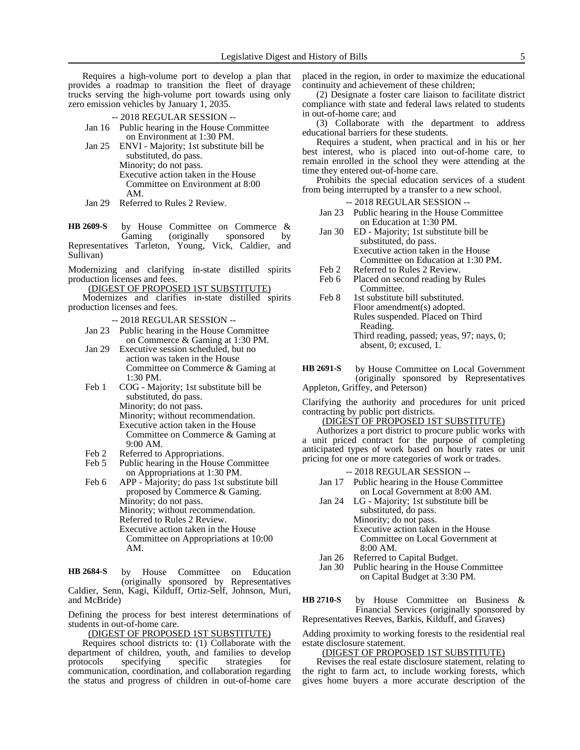Requires a high-volume port to develop a plan that provides a roadmap to transition the fleet of drayage trucks serving the high-volume port towards using only zero emission vehicles by January 1, 2035.

- -- 2018 REGULAR SESSION --
- Jan 16 Public hearing in the House Committee on Environment at 1:30 PM.
- Jan 25 ENVI Majority; 1st substitute bill be substituted, do pass. Minority; do not pass. Executive action taken in the House Committee on Environment at 8:00 AM.
- Jan 29 Referred to Rules 2 Review.

by House Committee on Commerce & Gaming (originally sponsored by Representatives Tarleton, Young, Vick, Caldier, and Sullivan) **HB 2609-S**

Modernizing and clarifying in-state distilled spirits production licenses and fees.

(DIGEST OF PROPOSED 1ST SUBSTITUTE)

Modernizes and clarifies in-state distilled spirits production licenses and fees.

-- 2018 REGULAR SESSION --

- Jan 23 Public hearing in the House Committee on Commerce & Gaming at 1:30 PM.
- Jan 29 Executive session scheduled, but no action was taken in the House Committee on Commerce & Gaming at 1:30 PM.
- Feb 1 COG Majority; 1st substitute bill be substituted, do pass. Minority; do not pass. Minority; without recommendation. Executive action taken in the House Committee on Commerce & Gaming at
- Feb 2 Referred to Appropriations.<br>Feb 5 Public hearing in the House

9:00 AM.

- Public hearing in the House Committee on Appropriations at 1:30 PM.
- Feb 6 APP Majority; do pass 1st substitute bill proposed by Commerce & Gaming. Minority; do not pass. Minority; without recommendation. Referred to Rules 2 Review. Executive action taken in the House Committee on Appropriations at 10:00 AM.

by House Committee on Education (originally sponsored by Representatives Caldier, Senn, Kagi, Kilduff, Ortiz-Self, Johnson, Muri, and McBride) **HB 2684-S**

Defining the process for best interest determinations of students in out-of-home care.

(DIGEST OF PROPOSED 1ST SUBSTITUTE)

Requires school districts to: (1) Collaborate with the department of children, youth, and families to develop protocols specifying specific strategies for communication, coordination, and collaboration regarding the status and progress of children in out-of-home care placed in the region, in order to maximize the educational continuity and achievement of these children;

(2) Designate a foster care liaison to facilitate district compliance with state and federal laws related to students in out-of-home care; and

(3) Collaborate with the department to address educational barriers for these students.

Requires a student, when practical and in his or her best interest, who is placed into out-of-home care, to remain enrolled in the school they were attending at the time they entered out-of-home care.

Prohibits the special education services of a student from being interrupted by a transfer to a new school.

-- 2018 REGULAR SESSION --

- Jan 23 Public hearing in the House Committee on Education at 1:30 PM.
- Jan 30 ED Majority; 1st substitute bill be substituted, do pass. Executive action taken in the House Committee on Education at 1:30 PM.
- Feb 2 Referred to Rules 2 Review.
- Feb 6 Placed on second reading by Rules Committee.
- Feb 8 1st substitute bill substituted. Floor amendment(s) adopted. Rules suspended. Placed on Third Reading. Third reading, passed; yeas, 97; nays, 0; absent, 0; excused, 1.
- by House Committee on Local Government (originally sponsored by Representatives Appleton, Griffey, and Peterson) **HB 2691-S**

Clarifying the authority and procedures for unit priced contracting by public port districts.

## (DIGEST OF PROPOSED 1ST SUBSTITUTE)

Authorizes a port district to procure public works with a unit priced contract for the purpose of completing anticipated types of work based on hourly rates or unit pricing for one or more categories of work or trades.

-- 2018 REGULAR SESSION --

- Jan 17 Public hearing in the House Committee on Local Government at 8:00 AM.
- Jan 24 LG Majority; 1st substitute bill be substituted, do pass. Minority; do not pass. Executive action taken in the House Committee on Local Government at 8:00 AM.
- Jan 26 Referred to Capital Budget.<br>Jan 30 Public hearing in the House
- Public hearing in the House Committee on Capital Budget at 3:30 PM.

by House Committee on Business & Financial Services (originally sponsored by **HB 2710-S**

Representatives Reeves, Barkis, Kilduff, and Graves)

Adding proximity to working forests to the residential real estate disclosure statement.

(DIGEST OF PROPOSED 1ST SUBSTITUTE)

Revises the real estate disclosure statement, relating to the right to farm act, to include working forests, which gives home buyers a more accurate description of the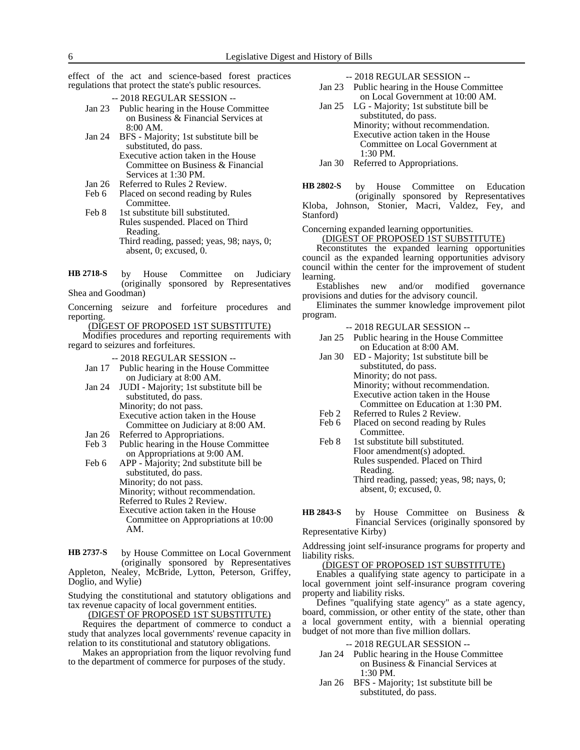effect of the act and science-based forest practices regulations that protect the state's public resources.

- -- 2018 REGULAR SESSION --
- Jan 23 Public hearing in the House Committee on Business & Financial Services at 8:00 AM.
- Jan 24 BFS Majority; 1st substitute bill be substituted, do pass. Executive action taken in the House Committee on Business & Financial Services at 1:30 PM.
- Jan 26 Referred to Rules 2 Review.
- Feb 6 Placed on second reading by Rules Committee.
- Feb 8 1st substitute bill substituted. Rules suspended. Placed on Third Reading. Third reading, passed; yeas, 98; nays, 0; absent, 0; excused, 0.

by House Committee on Judiciary (originally sponsored by Representatives Shea and Goodman) **HB 2718-S**

Concerning seizure and forfeiture procedures and reporting.

(DIGEST OF PROPOSED 1ST SUBSTITUTE)

Modifies procedures and reporting requirements with regard to seizures and forfeitures.

-- 2018 REGULAR SESSION --

- Jan 17 Public hearing in the House Committee on Judiciary at 8:00 AM.
- Jan 24 JUDI Majority; 1st substitute bill be substituted, do pass. Minority; do not pass. Executive action taken in the House Committee on Judiciary at 8:00 AM.
- Jan 26 Referred to Appropriations.
- Feb 3 Public hearing in the House Committee on Appropriations at 9:00 AM.

Feb 6 APP - Majority; 2nd substitute bill be substituted, do pass. Minority; do not pass. Minority; without recommendation. Referred to Rules 2 Review. Executive action taken in the House Committee on Appropriations at 10:00 AM.

by House Committee on Local Government (originally sponsored by Representatives Appleton, Nealey, McBride, Lytton, Peterson, Griffey, Doglio, and Wylie) **HB 2737-S**

Studying the constitutional and statutory obligations and tax revenue capacity of local government entities.

(DIGEST OF PROPOSED 1ST SUBSTITUTE)

Requires the department of commerce to conduct a study that analyzes local governments' revenue capacity in relation to its constitutional and statutory obligations.

Makes an appropriation from the liquor revolving fund to the department of commerce for purposes of the study.

-- 2018 REGULAR SESSION --

- Jan 23 Public hearing in the House Committee on Local Government at 10:00 AM.
- Jan 25 LG Majority; 1st substitute bill be substituted, do pass. Minority; without recommendation. Executive action taken in the House Committee on Local Government at 1:30 PM.

Jan 30 Referred to Appropriations.

by House Committee on Education (originally sponsored by Representatives Kloba, Johnson, Stonier, Macri, Valdez, Fey, and Stanford) **HB 2802-S**

Concerning expanded learning opportunities.

(DIGEST OF PROPOSED 1ST SUBSTITUTE)

Reconstitutes the expanded learning opportunities council as the expanded learning opportunities advisory council within the center for the improvement of student learning.

Establishes new and/or modified governance provisions and duties for the advisory council.

Eliminates the summer knowledge improvement pilot program.

- -- 2018 REGULAR SESSION --
- Jan 25 Public hearing in the House Committee on Education at 8:00 AM.
- Jan 30 ED Majority; 1st substitute bill be substituted, do pass. Minority; do not pass. Minority; without recommendation. Executive action taken in the House Committee on Education at 1:30 PM.
- Feb 2 Referred to Rules 2 Review.<br>Feb 6 Placed on second reading by Placed on second reading by Rules Committee.
- Feb 8 1st substitute bill substituted. Floor amendment(s) adopted. Rules suspended. Placed on Third Reading. Third reading, passed; yeas, 98; nays, 0; absent, 0; excused, 0.
- by House Committee on Business & Financial Services (originally sponsored by **HB 2843-S**

Representative Kirby)

Addressing joint self-insurance programs for property and liability risks.

#### (DIGEST OF PROPOSED 1ST SUBSTITUTE)

Enables a qualifying state agency to participate in a local government joint self-insurance program covering property and liability risks.

Defines "qualifying state agency" as a state agency, board, commission, or other entity of the state, other than a local government entity, with a biennial operating budget of not more than five million dollars.

#### -- 2018 REGULAR SESSION --

- Jan 24 Public hearing in the House Committee on Business & Financial Services at 1:30 PM.
- Jan 26 BFS Majority; 1st substitute bill be substituted, do pass.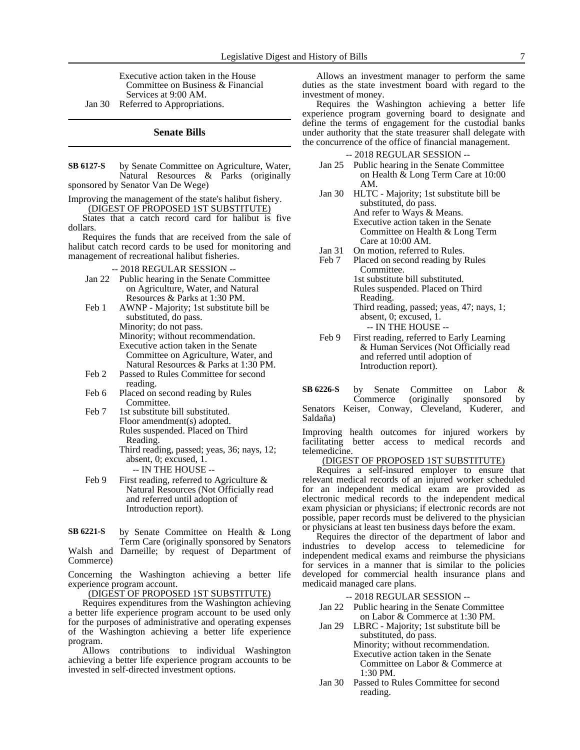Executive action taken in the House Committee on Business & Financial Services at 9:00 AM. Jan 30 Referred to Appropriations.

#### **Senate Bills**

by Senate Committee on Agriculture, Water, Natural Resources & Parks (originally sponsored by Senator Van De Wege) **SB 6127-S**

Improving the management of the state's halibut fishery. (DIGEST OF PROPOSED 1ST SUBSTITUTE)

States that a catch record card for halibut is five dollars.

Requires the funds that are received from the sale of halibut catch record cards to be used for monitoring and management of recreational halibut fisheries.

-- 2018 REGULAR SESSION --

- Jan 22 Public hearing in the Senate Committee on Agriculture, Water, and Natural Resources & Parks at 1:30 PM.
- Feb 1 AWNP Majority; 1st substitute bill be substituted, do pass. Minority; do not pass. Minority; without recommendation. Executive action taken in the Senate Committee on Agriculture, Water, and Natural Resources & Parks at 1:30 PM.
- Feb 2 Passed to Rules Committee for second reading.
- Feb 6 Placed on second reading by Rules Committee.
- Feb 7 1st substitute bill substituted. Floor amendment(s) adopted. Rules suspended. Placed on Third Reading. Third reading, passed; yeas, 36; nays, 12;

absent, 0; excused, 1. -- IN THE HOUSE --

- Feb 9 First reading, referred to Agriculture & Natural Resources (Not Officially read and referred until adoption of Introduction report).
- by Senate Committee on Health & Long Term Care (originally sponsored by Senators Walsh and Darneille; by request of Department of Commerce) **SB 6221-S**

Concerning the Washington achieving a better life experience program account.

(DIGEST OF PROPOSED 1ST SUBSTITUTE)

Requires expenditures from the Washington achieving a better life experience program account to be used only for the purposes of administrative and operating expenses of the Washington achieving a better life experience program.

Allows contributions to individual Washington achieving a better life experience program accounts to be invested in self-directed investment options.

Allows an investment manager to perform the same duties as the state investment board with regard to the investment of money.

Requires the Washington achieving a better life experience program governing board to designate and define the terms of engagement for the custodial banks under authority that the state treasurer shall delegate with the concurrence of the office of financial management.

-- 2018 REGULAR SESSION --

- Jan 25 Public hearing in the Senate Committee on Health & Long Term Care at 10:00 AM.
- Jan 30 HLTC Majority; 1st substitute bill be substituted, do pass. And refer to Ways & Means. Executive action taken in the Senate Committee on Health & Long Term Care at 10:00 AM.
- Jan 31 On motion, referred to Rules.<br>Feb 7 Placed on second reading by
	- Placed on second reading by Rules Committee. 1st substitute bill substituted. Rules suspended. Placed on Third Reading. Third reading, passed; yeas, 47; nays, 1; absent, 0; excused, 1.

-- IN THE HOUSE --

Feb 9 First reading, referred to Early Learning & Human Services (Not Officially read and referred until adoption of Introduction report).

by Senate Committee on Labor & Commerce (originally sponsored by Senators Keiser, Conway, Cleveland, Kuderer, and Saldaña) **SB 6226-S**

Improving health outcomes for injured workers by facilitating better access to medical records and telemedicine.

# (DIGEST OF PROPOSED 1ST SUBSTITUTE)

Requires a self-insured employer to ensure that relevant medical records of an injured worker scheduled for an independent medical exam are provided as electronic medical records to the independent medical exam physician or physicians; if electronic records are not possible, paper records must be delivered to the physician or physicians at least ten business days before the exam.

Requires the director of the department of labor and industries to develop access to telemedicine for independent medical exams and reimburse the physicians for services in a manner that is similar to the policies developed for commercial health insurance plans and medicaid managed care plans.

-- 2018 REGULAR SESSION --

- Jan 22 Public hearing in the Senate Committee on Labor & Commerce at 1:30 PM.
- Jan 29 LBRC Majority; 1st substitute bill be substituted, do pass. Minority; without recommendation. Executive action taken in the Senate Committee on Labor & Commerce at 1:30 PM.
- Jan 30 Passed to Rules Committee for second reading.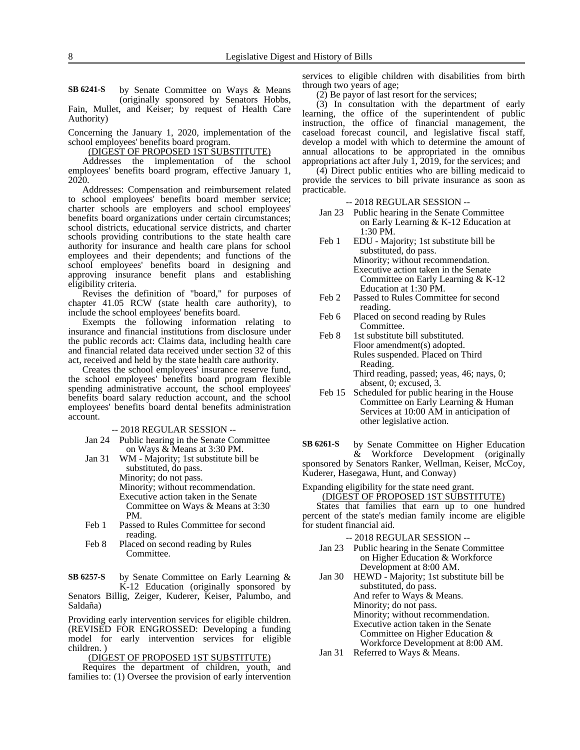by Senate Committee on Ways & Means (originally sponsored by Senators Hobbs, **SB 6241-S**

Fain, Mullet, and Keiser; by request of Health Care Authority)

Concerning the January 1, 2020, implementation of the school employees' benefits board program.

(DIGEST OF PROPOSED 1ST SUBSTITUTE)

Addresses the implementation of the school employees' benefits board program, effective January 1, 2020.

Addresses: Compensation and reimbursement related to school employees' benefits board member service; charter schools are employers and school employees' benefits board organizations under certain circumstances; school districts, educational service districts, and charter schools providing contributions to the state health care authority for insurance and health care plans for school employees and their dependents; and functions of the school employees' benefits board in designing and approving insurance benefit plans and establishing eligibility criteria.

Revises the definition of "board," for purposes of chapter 41.05 RCW (state health care authority), to include the school employees' benefits board.

Exempts the following information relating to insurance and financial institutions from disclosure under the public records act: Claims data, including health care and financial related data received under section 32 of this act, received and held by the state health care authority.

Creates the school employees' insurance reserve fund, the school employees' benefits board program flexible spending administrative account, the school employees' benefits board salary reduction account, and the school employees' benefits board dental benefits administration account.

-- 2018 REGULAR SESSION --

Jan 24 Public hearing in the Senate Committee on Ways & Means at 3:30 PM.

Jan 31 WM - Majority; 1st substitute bill be substituted, do pass. Minority; do not pass. Minority; without recommendation. Executive action taken in the Senate Committee on Ways & Means at 3:30 PM.

- Feb 1 Passed to Rules Committee for second reading.
- Feb 8 Placed on second reading by Rules Committee.

by Senate Committee on Early Learning & K-12 Education (originally sponsored by **SB 6257-S**

Senators Billig, Zeiger, Kuderer, Keiser, Palumbo, and Saldaña)

Providing early intervention services for eligible children. (REVISED FOR ENGROSSED: Developing a funding model for early intervention services for eligible children. )

(DIGEST OF PROPOSED 1ST SUBSTITUTE)

Requires the department of children, youth, and families to: (1) Oversee the provision of early intervention services to eligible children with disabilities from birth through two years of age;

(2) Be payor of last resort for the services;

(3) In consultation with the department of early learning, the office of the superintendent of public instruction, the office of financial management, the caseload forecast council, and legislative fiscal staff, develop a model with which to determine the amount of annual allocations to be appropriated in the omnibus appropriations act after July  $\overline{1}$ , 2019, for the services; and

(4) Direct public entities who are billing medicaid to provide the services to bill private insurance as soon as practicable.

-- 2018 REGULAR SESSION --

- Jan 23 Public hearing in the Senate Committee on Early Learning & K-12 Education at 1:30 PM.
- Feb 1 EDU Majority; 1st substitute bill be substituted, do pass. Minority; without recommendation. Executive action taken in the Senate Committee on Early Learning & K-12 Education at 1:30 PM.
- Feb 2 Passed to Rules Committee for second reading.
- Feb 6 Placed on second reading by Rules Committee.
- Feb 8 1st substitute bill substituted. Floor amendment(s) adopted. Rules suspended. Placed on Third Reading. Third reading, passed; yeas, 46; nays, 0;
- absent, 0; excused, 3. Feb 15 Scheduled for public hearing in the House Committee on Early Learning & Human Services at 10:00 AM in anticipation of other legislative action.

by Senate Committee on Higher Education & Workforce Development (originally **SB 6261-S**

sponsored by Senators Ranker, Wellman, Keiser, McCoy, Kuderer, Hasegawa, Hunt, and Conway)

Expanding eligibility for the state need grant.

(DIGEST OF PROPOSED 1ST SUBSTITUTE)

States that families that earn up to one hundred percent of the state's median family income are eligible for student financial aid.

-- 2018 REGULAR SESSION --

- Jan 23 Public hearing in the Senate Committee on Higher Education & Workforce Development at 8:00 AM.
- Jan 30 HEWD Majority; 1st substitute bill be substituted, do pass. And refer to Ways & Means. Minority; do not pass. Minority; without recommendation. Executive action taken in the Senate Committee on Higher Education & Workforce Development at 8:00 AM.
- Jan 31 Referred to Ways & Means.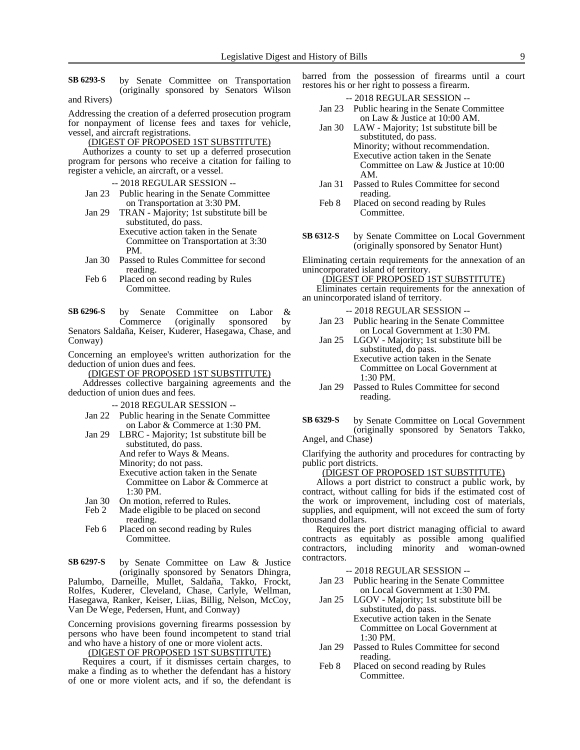by Senate Committee on Transportation (originally sponsored by Senators Wilson and Rivers) **SB 6293-S**

Addressing the creation of a deferred prosecution program for nonpayment of license fees and taxes for vehicle, vessel, and aircraft registrations.

(DIGEST OF PROPOSED 1ST SUBSTITUTE)

Authorizes a county to set up a deferred prosecution program for persons who receive a citation for failing to register a vehicle, an aircraft, or a vessel.

- -- 2018 REGULAR SESSION --
- Jan 23 Public hearing in the Senate Committee on Transportation at 3:30 PM.
- Jan 29 TRAN Majority; 1st substitute bill be substituted, do pass. Executive action taken in the Senate Committee on Transportation at 3:30 PM.
- Jan 30 Passed to Rules Committee for second reading.
- Feb 6 Placed on second reading by Rules Committee.

by Senate Committee on Labor & Commerce (originally sponsored by Senators Saldaña, Keiser, Kuderer, Hasegawa, Chase, and Conway) **SB 6296-S**

Concerning an employee's written authorization for the deduction of union dues and fees.

(DIGEST OF PROPOSED 1ST SUBSTITUTE)

Addresses collective bargaining agreements and the deduction of union dues and fees.

-- 2018 REGULAR SESSION --

- Jan 22 Public hearing in the Senate Committee on Labor & Commerce at 1:30 PM.
- Jan 29 LBRC Majority; 1st substitute bill be substituted, do pass. And refer to Ways & Means. Minority; do not pass. Executive action taken in the Senate Committee on Labor & Commerce at 1:30 PM.
- Jan 30 On motion, referred to Rules.<br>Feb 2 Made eligible to be placed on
- Made eligible to be placed on second reading.
- Feb 6 Placed on second reading by Rules Committee.

by Senate Committee on Law & Justice (originally sponsored by Senators Dhingra, Palumbo, Darneille, Mullet, Saldaña, Takko, Frockt, Rolfes, Kuderer, Cleveland, Chase, Carlyle, Wellman, Hasegawa, Ranker, Keiser, Liias, Billig, Nelson, McCoy, Van De Wege, Pedersen, Hunt, and Conway) **SB 6297-S**

Concerning provisions governing firearms possession by persons who have been found incompetent to stand trial and who have a history of one or more violent acts.

(DIGEST OF PROPOSED 1ST SUBSTITUTE)

Requires a court, if it dismisses certain charges, to make a finding as to whether the defendant has a history of one or more violent acts, and if so, the defendant is barred from the possession of firearms until a court restores his or her right to possess a firearm.

-- 2018 REGULAR SESSION --

- Jan 23 Public hearing in the Senate Committee on Law & Justice at 10:00 AM.
- Jan 30 LAW Majority; 1st substitute bill be substituted, do pass. Minority; without recommendation. Executive action taken in the Senate Committee on Law & Justice at 10:00 AM.
- Jan 31 Passed to Rules Committee for second reading.
- Feb 8 Placed on second reading by Rules Committee.
- by Senate Committee on Local Government (originally sponsored by Senator Hunt) **SB 6312-S**

Eliminating certain requirements for the annexation of an unincorporated island of territory.

(DIGEST OF PROPOSED 1ST SUBSTITUTE)

Eliminates certain requirements for the annexation of an unincorporated island of territory.

-- 2018 REGULAR SESSION -- Jan 23 Public hearing in the Senate Committee on Local Government at 1:30 PM. Jan 25 LGOV - Majority; 1st substitute bill be substituted, do pass. Executive action taken in the Senate

Committee on Local Government at 1:30 PM.

- Jan 29 Passed to Rules Committee for second reading.
- by Senate Committee on Local Government (originally sponsored by Senators Takko, Angel, and Chase) **SB 6329-S**

Clarifying the authority and procedures for contracting by public port districts.

(DIGEST OF PROPOSED 1ST SUBSTITUTE)

Allows a port district to construct a public work, by contract, without calling for bids if the estimated cost of the work or improvement, including cost of materials, supplies, and equipment, will not exceed the sum of forty thousand dollars.

Requires the port district managing official to award contracts as equitably as possible among qualified contractors, including minority and woman-owned contractors.

#### -- 2018 REGULAR SESSION --

- Jan 23 Public hearing in the Senate Committee on Local Government at 1:30 PM.
- Jan 25 LGOV Majority; 1st substitute bill be substituted, do pass. Executive action taken in the Senate

Committee on Local Government at 1:30 PM.

- Jan 29 Passed to Rules Committee for second reading.
- Feb 8 Placed on second reading by Rules Committee.